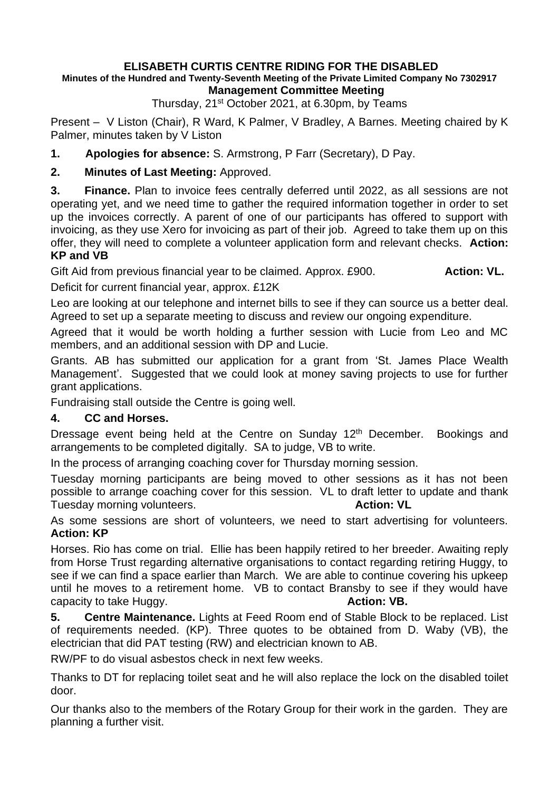## **ELISABETH CURTIS CENTRE RIDING FOR THE DISABLED**

## **Minutes of the Hundred and Twenty-Seventh Meeting of the Private Limited Company No 7302917 Management Committee Meeting**

Thursday, 21st October 2021, at 6.30pm, by Teams

Present – V Liston (Chair), R Ward, K Palmer, V Bradley, A Barnes. Meeting chaired by K Palmer, minutes taken by V Liston

**1. Apologies for absence:** S. Armstrong, P Farr (Secretary), D Pay.

**2. Minutes of Last Meeting:** Approved.

**3. Finance.** Plan to invoice fees centrally deferred until 2022, as all sessions are not operating yet, and we need time to gather the required information together in order to set up the invoices correctly. A parent of one of our participants has offered to support with invoicing, as they use Xero for invoicing as part of their job. Agreed to take them up on this offer, they will need to complete a volunteer application form and relevant checks. **Action: KP and VB**

Gift Aid from previous financial year to be claimed. Approx. £900. **Action: VL.** 

Deficit for current financial year, approx. £12K

Leo are looking at our telephone and internet bills to see if they can source us a better deal. Agreed to set up a separate meeting to discuss and review our ongoing expenditure.

Agreed that it would be worth holding a further session with Lucie from Leo and MC members, and an additional session with DP and Lucie.

Grants. AB has submitted our application for a grant from 'St. James Place Wealth Management'. Suggested that we could look at money saving projects to use for further grant applications.

Fundraising stall outside the Centre is going well.

## **4. CC and Horses.**

Dressage event being held at the Centre on Sunday 12<sup>th</sup> December. Bookings and arrangements to be completed digitally. SA to judge, VB to write.

In the process of arranging coaching cover for Thursday morning session.

Tuesday morning participants are being moved to other sessions as it has not been possible to arrange coaching cover for this session. VL to draft letter to update and thank Tuesday morning volunteers. **Action: VL Action: VL** 

As some sessions are short of volunteers, we need to start advertising for volunteers. **Action: KP**

Horses. Rio has come on trial. Ellie has been happily retired to her breeder. Awaiting reply from Horse Trust regarding alternative organisations to contact regarding retiring Huggy, to see if we can find a space earlier than March. We are able to continue covering his upkeep until he moves to a retirement home. VB to contact Bransby to see if they would have capacity to take Huggy. **Action: VB. Action: VB.** 

**5. Centre Maintenance.** Lights at Feed Room end of Stable Block to be replaced. List of requirements needed. (KP). Three quotes to be obtained from D. Waby (VB), the electrician that did PAT testing (RW) and electrician known to AB.

RW/PF to do visual asbestos check in next few weeks.

Thanks to DT for replacing toilet seat and he will also replace the lock on the disabled toilet door.

Our thanks also to the members of the Rotary Group for their work in the garden. They are planning a further visit.